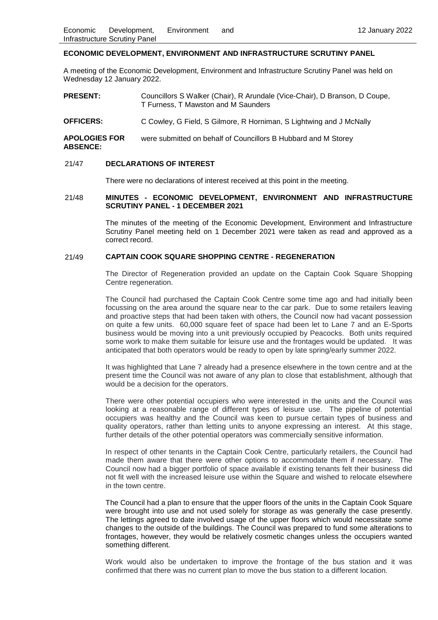#### **ECONOMIC DEVELOPMENT, ENVIRONMENT AND INFRASTRUCTURE SCRUTINY PANEL**

A meeting of the Economic Development, Environment and Infrastructure Scrutiny Panel was held on Wednesday 12 January 2022.

**PRESENT:** Councillors S Walker (Chair), R Arundale (Vice-Chair), D Branson, D Coupe, T Furness, T Mawston and M Saunders

**OFFICERS:** C Cowley, G Field, S Gilmore, R Horniman, S Lightwing and J McNally

**APOLOGIES FOR ABSENCE:** were submitted on behalf of Councillors B Hubbard and M Storey

#### 21/47 **DECLARATIONS OF INTEREST**

There were no declarations of interest received at this point in the meeting.

#### 21/48 **MINUTES - ECONOMIC DEVELOPMENT, ENVIRONMENT AND INFRASTRUCTURE SCRUTINY PANEL - 1 DECEMBER 2021**

The minutes of the meeting of the Economic Development, Environment and Infrastructure Scrutiny Panel meeting held on 1 December 2021 were taken as read and approved as a correct record.

# 21/49 **CAPTAIN COOK SQUARE SHOPPING CENTRE - REGENERATION**

The Director of Regeneration provided an update on the Captain Cook Square Shopping Centre regeneration.

The Council had purchased the Captain Cook Centre some time ago and had initially been focussing on the area around the square near to the car park. Due to some retailers leaving and proactive steps that had been taken with others, the Council now had vacant possession on quite a few units. 60,000 square feet of space had been let to Lane 7 and an E-Sports business would be moving into a unit previously occupied by Peacocks. Both units required some work to make them suitable for leisure use and the frontages would be updated. It was anticipated that both operators would be ready to open by late spring/early summer 2022.

It was highlighted that Lane 7 already had a presence elsewhere in the town centre and at the present time the Council was not aware of any plan to close that establishment, although that would be a decision for the operators.

There were other potential occupiers who were interested in the units and the Council was looking at a reasonable range of different types of leisure use. The pipeline of potential occupiers was healthy and the Council was keen to pursue certain types of business and quality operators, rather than letting units to anyone expressing an interest. At this stage, further details of the other potential operators was commercially sensitive information.

In respect of other tenants in the Captain Cook Centre, particularly retailers, the Council had made them aware that there were other options to accommodate them if necessary. The Council now had a bigger portfolio of space available if existing tenants felt their business did not fit well with the increased leisure use within the Square and wished to relocate elsewhere in the town centre.

The Council had a plan to ensure that the upper floors of the units in the Captain Cook Square were brought into use and not used solely for storage as was generally the case presently. The lettings agreed to date involved usage of the upper floors which would necessitate some changes to the outside of the buildings. The Council was prepared to fund some alterations to frontages, however, they would be relatively cosmetic changes unless the occupiers wanted something different.

Work would also be undertaken to improve the frontage of the bus station and it was confirmed that there was no current plan to move the bus station to a different location.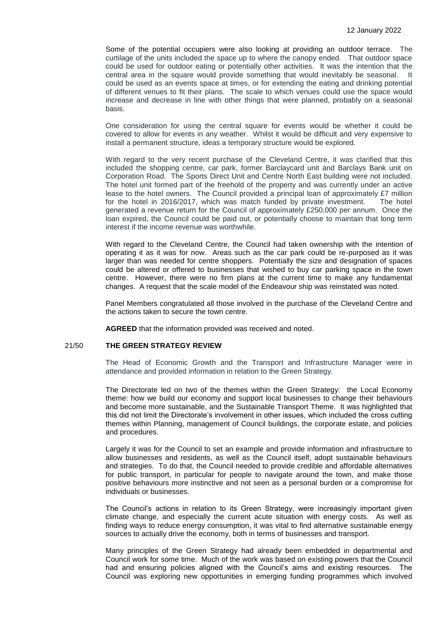Some of the potential occupiers were also looking at providing an outdoor terrace. The curtilage of the units included the space up to where the canopy ended. That outdoor space could be used for outdoor eating or potentially other activities. It was the intention that the central area in the square would provide something that would inevitably be seasonal. It could be used as an events space at times, or for extending the eating and drinking potential of different venues to fit their plans. The scale to which venues could use the space would increase and decrease in line with other things that were planned, probably on a seasonal basis.

One consideration for using the central square for events would be whether it could be covered to allow for events in any weather. Whilst it would be difficult and very expensive to install a permanent structure, ideas a temporary structure would be explored.

With regard to the very recent purchase of the Cleveland Centre, it was clarified that this included the shopping centre, car park, former Barclaycard unit and Barclays Bank unit on Corporation Road. The Sports Direct Unit and Centre North East building were not included. The hotel unit formed part of the freehold of the property and was currently under an active lease to the hotel owners. The Council provided a principal loan of approximately £7 million for the hotel in 2016/2017, which was match funded by private investment. The hotel generated a revenue return for the Council of approximately £250,000 per annum. Once the loan expired, the Council could be paid out, or potentially choose to maintain that long term interest if the income revenue was worthwhile.

With regard to the Cleveland Centre, the Council had taken ownership with the intention of operating it as it was for now. Areas such as the car park could be re-purposed as it was larger than was needed for centre shoppers. Potentially the size and designation of spaces could be altered or offered to businesses that wished to buy car parking space in the town centre. However, there were no firm plans at the current time to make any fundamental changes. A request that the scale model of the Endeavour ship was reinstated was noted.

Panel Members congratulated all those involved in the purchase of the Cleveland Centre and the actions taken to secure the town centre.

**AGREED** that the information provided was received and noted.

## 21/50 **THE GREEN STRATEGY REVIEW**

The Head of Economic Growth and the Transport and Infrastructure Manager were in attendance and provided information in relation to the Green Strategy.

The Directorate led on two of the themes within the Green Strategy: the Local Economy theme: how we build our economy and support local businesses to change their behaviours and become more sustainable, and the Sustainable Transport Theme. It was highlighted that this did not limit the Directorate's involvement in other issues, which included the cross cutting themes within Planning, management of Council buildings, the corporate estate, and policies and procedures.

Largely it was for the Council to set an example and provide information and infrastructure to allow businesses and residents, as well as the Council itself, adopt sustainable behaviours and strategies. To do that, the Council needed to provide credible and affordable alternatives for public transport, in particular for people to navigate around the town, and make those positive behaviours more instinctive and not seen as a personal burden or a compromise for individuals or businesses.

The Council's actions in relation to its Green Strategy, were increasingly important given climate change, and especially the current acute situation with energy costs. As well as finding ways to reduce energy consumption, it was vital to find alternative sustainable energy sources to actually drive the economy, both in terms of businesses and transport.

Many principles of the Green Strategy had already been embedded in departmental and Council work for some time. Much of the work was based on existing powers that the Council had and ensuring policies aligned with the Council's aims and existing resources. The Council was exploring new opportunities in emerging funding programmes which involved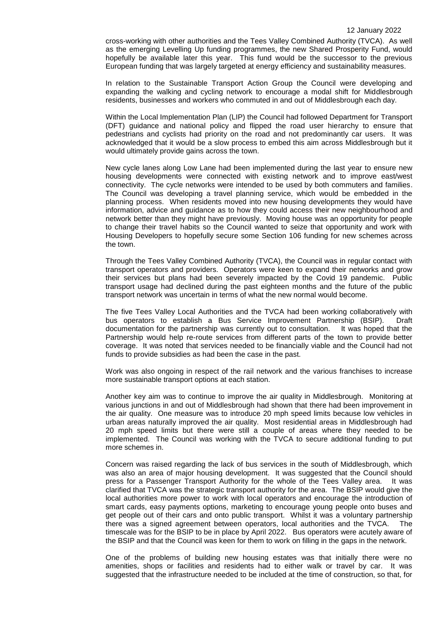cross-working with other authorities and the Tees Valley Combined Authority (TVCA). As well as the emerging Levelling Up funding programmes, the new Shared Prosperity Fund, would hopefully be available later this year. This fund would be the successor to the previous European funding that was largely targeted at energy efficiency and sustainability measures.

In relation to the Sustainable Transport Action Group the Council were developing and expanding the walking and cycling network to encourage a modal shift for Middlesbrough residents, businesses and workers who commuted in and out of Middlesbrough each day.

Within the Local Implementation Plan (LIP) the Council had followed Department for Transport (DFT) guidance and national policy and flipped the road user hierarchy to ensure that pedestrians and cyclists had priority on the road and not predominantly car users. It was acknowledged that it would be a slow process to embed this aim across Middlesbrough but it would ultimately provide gains across the town.

New cycle lanes along Low Lane had been implemented during the last year to ensure new housing developments were connected with existing network and to improve east/west connectivity. The cycle networks were intended to be used by both commuters and families. The Council was developing a travel planning service, which would be embedded in the planning process. When residents moved into new housing developments they would have information, advice and guidance as to how they could access their new neighbourhood and network better than they might have previously. Moving house was an opportunity for people to change their travel habits so the Council wanted to seize that opportunity and work with Housing Developers to hopefully secure some Section 106 funding for new schemes across the town.

Through the Tees Valley Combined Authority (TVCA), the Council was in regular contact with transport operators and providers. Operators were keen to expand their networks and grow their services but plans had been severely impacted by the Covid 19 pandemic. Public transport usage had declined during the past eighteen months and the future of the public transport network was uncertain in terms of what the new normal would become.

The five Tees Valley Local Authorities and the TVCA had been working collaboratively with bus operators to establish a Bus Service Improvement Partnership (BSIP). Draft documentation for the partnership was currently out to consultation. It was hoped that the Partnership would help re-route services from different parts of the town to provide better coverage. It was noted that services needed to be financially viable and the Council had not funds to provide subsidies as had been the case in the past.

Work was also ongoing in respect of the rail network and the various franchises to increase more sustainable transport options at each station.

Another key aim was to continue to improve the air quality in Middlesbrough.Monitoring at various junctions in and out of Middlesbrough had shown that there had been improvement in the air quality. One measure was to introduce 20 mph speed limits because low vehicles in urban areas naturally improved the air quality. Most residential areas in Middlesbrough had 20 mph speed limits but there were still a couple of areas where they needed to be implemented. The Council was working with the TVCA to secure additional funding to put more schemes in.

Concern was raised regarding the lack of bus services in the south of Middlesbrough, which was also an area of major housing development. It was suggested that the Council should press for a Passenger Transport Authority for the whole of the Tees Valley area. It was clarified that TVCA was the strategic transport authority for the area. The BSIP would give the local authorities more power to work with local operators and encourage the introduction of smart cards, easy payments options, marketing to encourage young people onto buses and get people out of their cars and onto public transport. Whilst it was a voluntary partnership there was a signed agreement between operators, local authorities and the TVCA. The timescale was for the BSIP to be in place by April 2022. Bus operators were acutely aware of the BSIP and that the Council was keen for them to work on filling in the gaps in the network.

One of the problems of building new housing estates was that initially there were no amenities, shops or facilities and residents had to either walk or travel by car. It was suggested that the infrastructure needed to be included at the time of construction, so that, for